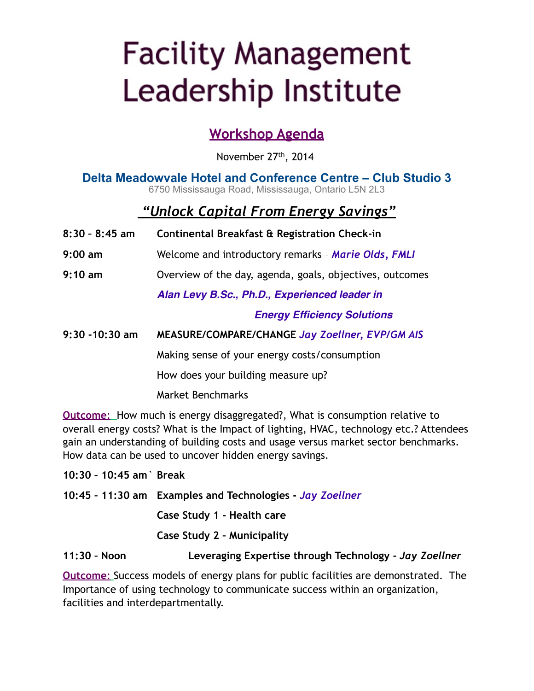# **Facility Management** Leadership Institute

### **Workshop Agenda**

November 27<sup>th</sup>, 2014

#### **Delta Meadowvale Hotel and Conference Centre – Club Studio 3** 6750 Mississauga Road, Mississauga, Ontario L5N 2L3

### *"Unlock Capital From Energy Savings"*

- **8:30 8:45 am Continental Breakfast & Registration Check-in**
- **9:00 am** Welcome and introductory remarks *Marie Olds, FMLI*
- **9:10 am** Overview of the day, agenda, goals, objectives, outcomes

*Alan Levy B.Sc., Ph.D., Experienced leader in*

**! ! ! ! ! !** *Energy Efficiency Solutions*

**9:30 -10:30 am MEASURE/COMPARE/CHANGE** *Jay Zoellner, EVP/GM AIS*

Making sense of your energy costs/consumption

How does your building measure up?

Market Benchmarks

**Outcome**: How much is energy disaggregated?, What is consumption relative to overall energy costs? What is the Impact of lighting, HVAC, technology etc.? Attendees gain an understanding of building costs and usage versus market sector benchmarks. How data can be used to uncover hidden energy savings.

**10:30 – 10:45 am` Break**

**10:45 – 11:30 am Examples and Technologies -** *Jay Zoellner*

**Case Study 1 - Health care**

**Case Study 2 – Municipality**

**11:30 – Noon Leveraging Expertise through Technology -** *Jay Zoellner*

**Outcome**: Success models of energy plans for public facilities are demonstrated. The Importance of using technology to communicate success within an organization, facilities and interdepartmentally.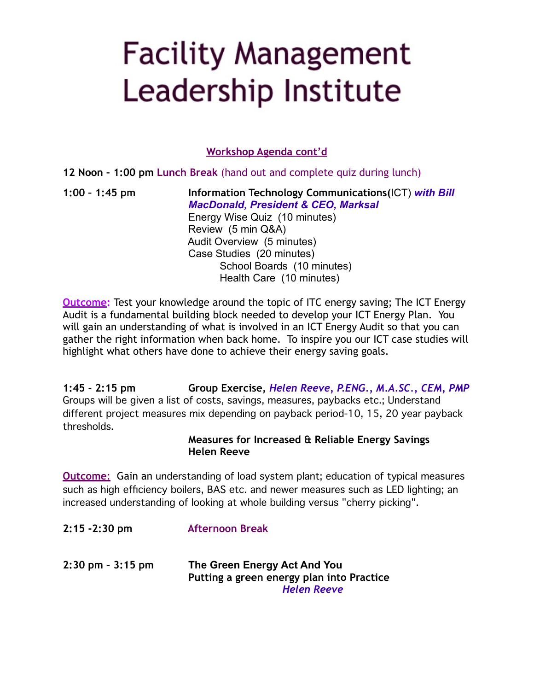# **Facility Management** Leadership Institute

**Workshop Agenda cont'd**

**12 Noon – 1:00 pm Lunch Break** (hand out and complete quiz during lunch)

**1:00 – 1:45 pm Information Technology Communications(**ICT) *with Bill MacDonald, President & CEO, Marksal* Energy Wise Quiz (10 minutes) Review (5 min Q&A) Audit Overview (5 minutes) Case Studies (20 minutes) School Boards (10 minutes) Health Care (10 minutes)

**Outcome:** Test your knowledge around the topic of ITC energy saving; The ICT Energy Audit is a fundamental building block needed to develop your ICT Energy Plan. You will gain an understanding of what is involved in an ICT Energy Audit so that you can gather the right information when back home. To inspire you our ICT case studies will highlight what others have done to achieve their energy saving goals.

**1:45 - 2:15 pm Group Exercise,** *Helen Reeve, P.ENG., M.A.SC., CEM, PMP* Groups will be given a list of costs, savings, measures, paybacks etc.; Understand different project measures mix depending on payback period-10, 15, 20 year payback thresholds.

#### **Measures for Increased & Reliable Energy Savings Helen Reeve**

**Outcome**: Gain an understanding of load system plant; education of typical measures such as high efficiency boilers, BAS etc. and newer measures such as LED lighting; an increased understanding of looking at whole building versus "cherry picking".

**2:15 -2:30 pm Afternoon Break 2:30 pm – 3:15 pm The Green Energy Act And You Putting a green energy plan into Practice** *Helen Reeve*